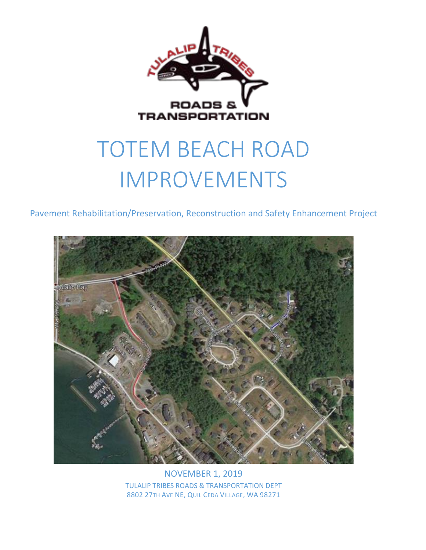

# TOTEM BEACH ROAD IMPROVEMENTS

Pavement Rehabilitation/Preservation, Reconstruction and Safety Enhancement Project



NOVEMBER 1, 2019 TULALIP TRIBES ROADS & TRANSPORTATION DEPT 8802 27TH AVE NE, QUIL CEDA VILLAGE, WA 98271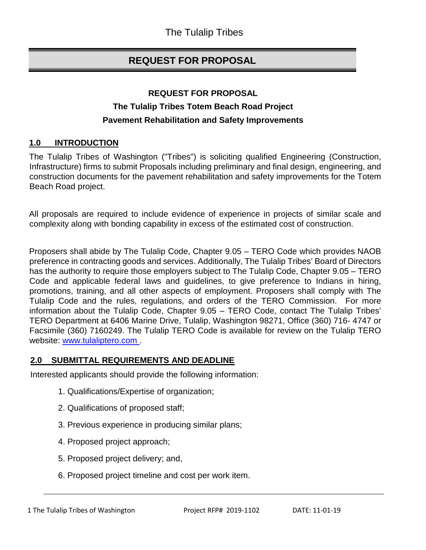# **REQUEST FOR PROPOSAL**

## **REQUEST FOR PROPOSAL The Tulalip Tribes Totem Beach Road Project Pavement Rehabilitation and Safety Improvements**

## **1.0 INTRODUCTION**

The Tulalip Tribes of Washington ("Tribes") is soliciting qualified Engineering (Construction, Infrastructure) firms to submit Proposals including preliminary and final design, engineering, and construction documents for the pavement rehabilitation and safety improvements for the Totem Beach Road project.

All proposals are required to include evidence of experience in projects of similar scale and complexity along with bonding capability in excess of the estimated cost of construction.

Proposers shall abide by The Tulalip Code, Chapter 9.05 – TERO Code which provides NAOB preference in contracting goods and services. Additionally, The Tulalip Tribes' Board of Directors has the authority to require those employers subject to The Tulalip Code, Chapter 9.05 – TERO Code and applicable federal laws and guidelines, to give preference to Indians in hiring, promotions, training, and all other aspects of employment. Proposers shall comply with The Tulalip Code and the rules, regulations, and orders of the TERO Commission. For more information about the Tulalip Code, Chapter 9.05 – TERO Code, contact The Tulalip Tribes' TERO Department at 6406 Marine Drive, Tulalip, Washington 98271, Office (360) 716- 4747 or Facsimile (360) 7160249. The Tulalip TERO Code is available for review on the Tulalip TERO website: [www.tulaliptero.com](http://www.tulaliptero.com/) [.](http://www.tulaliptero.com/)

#### **2.0 SUBMITTAL REQUIREMENTS AND DEADLINE**

Interested applicants should provide the following information:

- 1. Qualifications/Expertise of organization;
- 2. Qualifications of proposed staff;
- 3. Previous experience in producing similar plans;
- 4. Proposed project approach;
- 5. Proposed project delivery; and,
- 6. Proposed project timeline and cost per work item.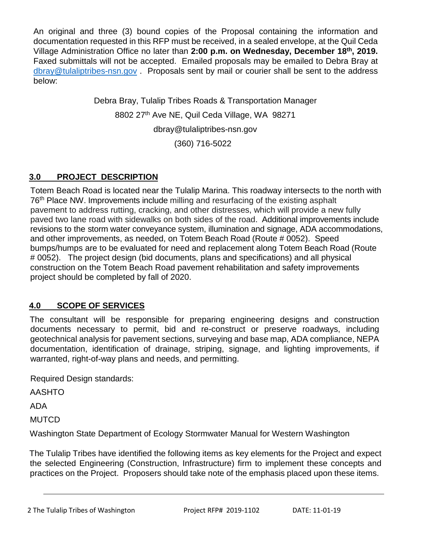An original and three (3) bound copies of the Proposal containing the information and documentation requested in this RFP must be received, in a sealed envelope, at the Quil Ceda Village Administration Office no later than **2:00 p.m. on Wednesday, December 18th, 2019.** Faxed submittals will not be accepted. Emailed proposals may be emailed to Debra Bray at [dbray@tulaliptribes-nsn.gov](mailto:dbray@tulaliptribes-nsn.gov) . Proposals sent by mail or courier shall be sent to the address below:

> Debra Bray, Tulalip Tribes Roads & Transportation Manager 8802 27<sup>th</sup> Ave NE, Quil Ceda Village, WA 98271 [dbray@tulaliptribes-nsn.gov](mailto:dbray@tulaliptribes-nsn.gov) (360) 716-5022

## **3.0 PROJECT DESCRIPTION**

Totem Beach Road is located near the Tulalip Marina. This roadway intersects to the north with 76th Place NW. Improvements include milling and resurfacing of the existing asphalt pavement to address rutting, cracking, and other distresses, which will provide a new fully paved two lane road with sidewalks on both sides of the road. Additional improvements include revisions to the storm water conveyance system, illumination and signage, ADA accommodations, and other improvements, as needed, on Totem Beach Road (Route # 0052). Speed bumps/humps are to be evaluated for need and replacement along Totem Beach Road (Route # 0052). The project design (bid documents, plans and specifications) and all physical construction on the Totem Beach Road pavement rehabilitation and safety improvements project should be completed by fall of 2020.

## **4.0 SCOPE OF SERVICES**

The consultant will be responsible for preparing engineering designs and construction documents necessary to permit, bid and re-construct or preserve roadways, including geotechnical analysis for pavement sections, surveying and base map, ADA compliance, NEPA documentation, identification of drainage, striping, signage, and lighting improvements, if warranted, right-of-way plans and needs, and permitting.

Required Design standards:

AASHTO

ADA

**MUTCD** 

Washington State Department of Ecology Stormwater Manual for Western Washington

The Tulalip Tribes have identified the following items as key elements for the Project and expect the selected Engineering (Construction, Infrastructure) firm to implement these concepts and practices on the Project. Proposers should take note of the emphasis placed upon these items.

2 The Tulalip Tribes of Washington Project RFP# 2019-1102 DATE: 11-01-19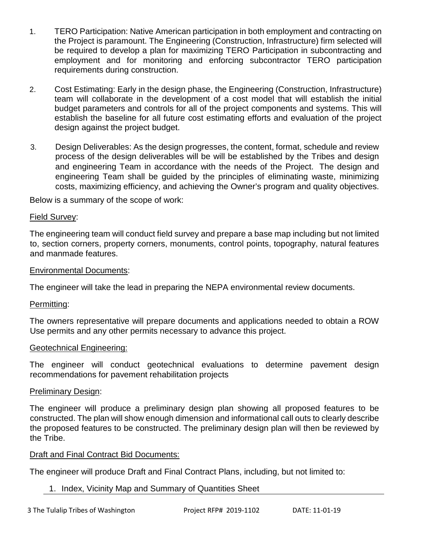- 1. TERO Participation: Native American participation in both employment and contracting on the Project is paramount. The Engineering (Construction, Infrastructure) firm selected will be required to develop a plan for maximizing TERO Participation in subcontracting and employment and for monitoring and enforcing subcontractor TERO participation requirements during construction.
- 2. Cost Estimating: Early in the design phase, the Engineering (Construction, Infrastructure) team will collaborate in the development of a cost model that will establish the initial budget parameters and controls for all of the project components and systems. This will establish the baseline for all future cost estimating efforts and evaluation of the project design against the project budget.
- 3. Design Deliverables: As the design progresses, the content, format, schedule and review process of the design deliverables will be will be established by the Tribes and design and engineering Team in accordance with the needs of the Project. The design and engineering Team shall be guided by the principles of eliminating waste, minimizing costs, maximizing efficiency, and achieving the Owner's program and quality objectives.

Below is a summary of the scope of work:

#### Field Survey:

The engineering team will conduct field survey and prepare a base map including but not limited to, section corners, property corners, monuments, control points, topography, natural features and manmade features.

#### Environmental Documents:

The engineer will take the lead in preparing the NEPA environmental review documents.

#### Permitting:

The owners representative will prepare documents and applications needed to obtain a ROW Use permits and any other permits necessary to advance this project.

#### Geotechnical Engineering:

The engineer will conduct geotechnical evaluations to determine pavement design recommendations for pavement rehabilitation projects

#### Preliminary Design:

The engineer will produce a preliminary design plan showing all proposed features to be constructed. The plan will show enough dimension and informational call outs to clearly describe the proposed features to be constructed. The preliminary design plan will then be reviewed by the Tribe.

## Draft and Final Contract Bid Documents:

The engineer will produce Draft and Final Contract Plans, including, but not limited to:

## 1. Index, Vicinity Map and Summary of Quantities Sheet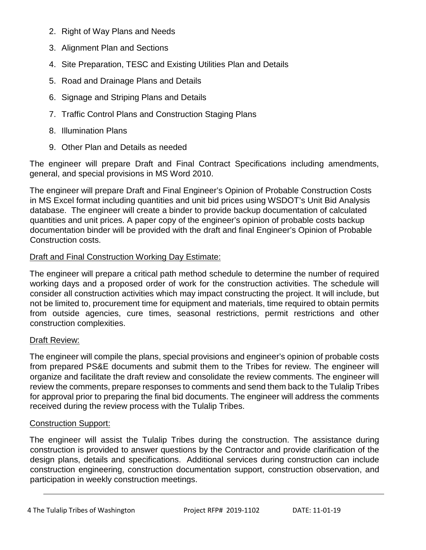- 2. Right of Way Plans and Needs
- 3. Alignment Plan and Sections
- 4. Site Preparation, TESC and Existing Utilities Plan and Details
- 5. Road and Drainage Plans and Details
- 6. Signage and Striping Plans and Details
- 7. Traffic Control Plans and Construction Staging Plans
- 8. Illumination Plans
- 9. Other Plan and Details as needed

The engineer will prepare Draft and Final Contract Specifications including amendments, general, and special provisions in MS Word 2010.

The engineer will prepare Draft and Final Engineer's Opinion of Probable Construction Costs in MS Excel format including quantities and unit bid prices using WSDOT's Unit Bid Analysis database. The engineer will create a binder to provide backup documentation of calculated quantities and unit prices. A paper copy of the engineer's opinion of probable costs backup documentation binder will be provided with the draft and final Engineer's Opinion of Probable Construction costs.

## Draft and Final Construction Working Day Estimate:

The engineer will prepare a critical path method schedule to determine the number of required working days and a proposed order of work for the construction activities. The schedule will consider all construction activities which may impact constructing the project. It will include, but not be limited to, procurement time for equipment and materials, time required to obtain permits from outside agencies, cure times, seasonal restrictions, permit restrictions and other construction complexities.

## Draft Review:

The engineer will compile the plans, special provisions and engineer's opinion of probable costs from prepared PS&E documents and submit them to the Tribes for review. The engineer will organize and facilitate the draft review and consolidate the review comments. The engineer will review the comments, prepare responses to comments and send them back to the Tulalip Tribes for approval prior to preparing the final bid documents. The engineer will address the comments received during the review process with the Tulalip Tribes.

## Construction Support:

The engineer will assist the Tulalip Tribes during the construction. The assistance during construction is provided to answer questions by the Contractor and provide clarification of the design plans, details and specifications. Additional services during construction can include construction engineering, construction documentation support, construction observation, and participation in weekly construction meetings.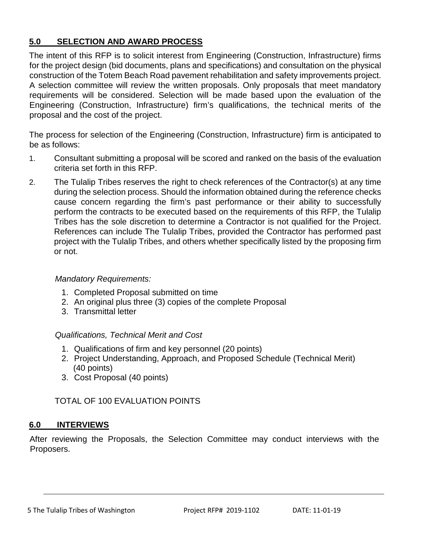## **5.0 SELECTION AND AWARD PROCESS**

The intent of this RFP is to solicit interest from Engineering (Construction, Infrastructure) firms for the project design (bid documents, plans and specifications) and consultation on the physical construction of the Totem Beach Road pavement rehabilitation and safety improvements project. A selection committee will review the written proposals. Only proposals that meet mandatory requirements will be considered. Selection will be made based upon the evaluation of the Engineering (Construction, Infrastructure) firm's qualifications, the technical merits of the proposal and the cost of the project.

The process for selection of the Engineering (Construction, Infrastructure) firm is anticipated to be as follows:

- 1. Consultant submitting a proposal will be scored and ranked on the basis of the evaluation criteria set forth in this RFP.
- 2. The Tulalip Tribes reserves the right to check references of the Contractor(s) at any time during the selection process. Should the information obtained during the reference checks cause concern regarding the firm's past performance or their ability to successfully perform the contracts to be executed based on the requirements of this RFP, the Tulalip Tribes has the sole discretion to determine a Contractor is not qualified for the Project. References can include The Tulalip Tribes, provided the Contractor has performed past project with the Tulalip Tribes, and others whether specifically listed by the proposing firm or not.

#### *Mandatory Requirements:*

- 1. Completed Proposal submitted on time
- 2. An original plus three (3) copies of the complete Proposal
- 3. Transmittal letter

#### *Qualifications, Technical Merit and Cost*

- 1. Qualifications of firm and key personnel (20 points)
- 2. Project Understanding, Approach, and Proposed Schedule (Technical Merit) (40 points)
- 3. Cost Proposal (40 points)

## TOTAL OF 100 EVALUATION POINTS

#### **6.0 INTERVIEWS**

After reviewing the Proposals, the Selection Committee may conduct interviews with the Proposers.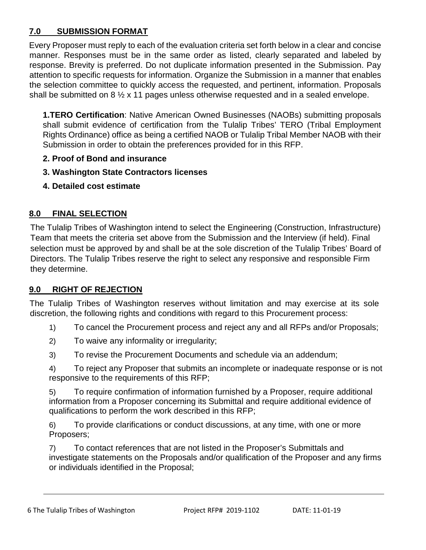## **7.0 SUBMISSION FORMAT**

Every Proposer must reply to each of the evaluation criteria set forth below in a clear and concise manner. Responses must be in the same order as listed, clearly separated and labeled by response. Brevity is preferred. Do not duplicate information presented in the Submission. Pay attention to specific requests for information. Organize the Submission in a manner that enables the selection committee to quickly access the requested, and pertinent, information. Proposals shall be submitted on 8 ½ x 11 pages unless otherwise requested and in a sealed envelope.

**1.TERO Certification**: Native American Owned Businesses (NAOBs) submitting proposals shall submit evidence of certification from the Tulalip Tribes' TERO (Tribal Employment Rights Ordinance) office as being a certified NAOB or Tulalip Tribal Member NAOB with their Submission in order to obtain the preferences provided for in this RFP.

- **2. Proof of Bond and insurance**
- **3. Washington State Contractors licenses**
- **4. Detailed cost estimate**

## **8.0 FINAL SELECTION**

The Tulalip Tribes of Washington intend to select the Engineering (Construction, Infrastructure) Team that meets the criteria set above from the Submission and the Interview (if held). Final selection must be approved by and shall be at the sole discretion of the Tulalip Tribes' Board of Directors. The Tulalip Tribes reserve the right to select any responsive and responsible Firm they determine.

## **9.0 RIGHT OF REJECTION**

The Tulalip Tribes of Washington reserves without limitation and may exercise at its sole discretion, the following rights and conditions with regard to this Procurement process:

- 1) To cancel the Procurement process and reject any and all RFPs and/or Proposals;
- 2) To waive any informality or irregularity;
- 3) To revise the Procurement Documents and schedule via an addendum;

4) To reject any Proposer that submits an incomplete or inadequate response or is not responsive to the requirements of this RFP;

5) To require confirmation of information furnished by a Proposer, require additional information from a Proposer concerning its Submittal and require additional evidence of qualifications to perform the work described in this RFP;

6) To provide clarifications or conduct discussions, at any time, with one or more Proposers;

7) To contact references that are not listed in the Proposer's Submittals and investigate statements on the Proposals and/or qualification of the Proposer and any firms or individuals identified in the Proposal;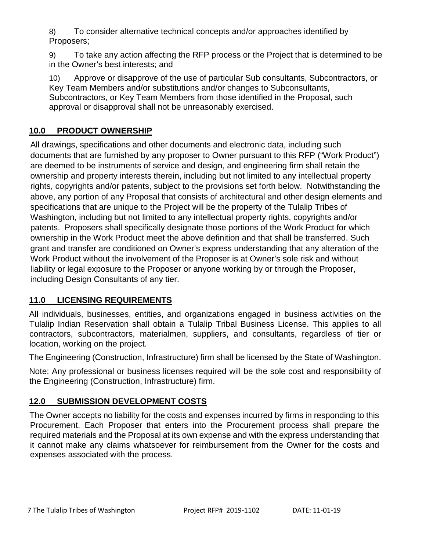8) To consider alternative technical concepts and/or approaches identified by Proposers;

9) To take any action affecting the RFP process or the Project that is determined to be in the Owner's best interests; and

10) Approve or disapprove of the use of particular Sub consultants, Subcontractors, or Key Team Members and/or substitutions and/or changes to Subconsultants, Subcontractors, or Key Team Members from those identified in the Proposal, such approval or disapproval shall not be unreasonably exercised.

## **10.0 PRODUCT OWNERSHIP**

All drawings, specifications and other documents and electronic data, including such documents that are furnished by any proposer to Owner pursuant to this RFP ("Work Product") are deemed to be instruments of service and design, and engineering firm shall retain the ownership and property interests therein, including but not limited to any intellectual property rights, copyrights and/or patents, subject to the provisions set forth below. Notwithstanding the above, any portion of any Proposal that consists of architectural and other design elements and specifications that are unique to the Project will be the property of the Tulalip Tribes of Washington, including but not limited to any intellectual property rights, copyrights and/or patents. Proposers shall specifically designate those portions of the Work Product for which ownership in the Work Product meet the above definition and that shall be transferred. Such grant and transfer are conditioned on Owner's express understanding that any alteration of the Work Product without the involvement of the Proposer is at Owner's sole risk and without liability or legal exposure to the Proposer or anyone working by or through the Proposer, including Design Consultants of any tier.

## **11.0 LICENSING REQUIREMENTS**

All individuals, businesses, entities, and organizations engaged in business activities on the Tulalip Indian Reservation shall obtain a Tulalip Tribal Business License. This applies to all contractors, subcontractors, materialmen, suppliers, and consultants, regardless of tier or location, working on the project.

The Engineering (Construction, Infrastructure) firm shall be licensed by the State of Washington.

Note: Any professional or business licenses required will be the sole cost and responsibility of the Engineering (Construction, Infrastructure) firm.

## **12.0 SUBMISSION DEVELOPMENT COSTS**

The Owner accepts no liability for the costs and expenses incurred by firms in responding to this Procurement. Each Proposer that enters into the Procurement process shall prepare the required materials and the Proposal at its own expense and with the express understanding that it cannot make any claims whatsoever for reimbursement from the Owner for the costs and expenses associated with the process.